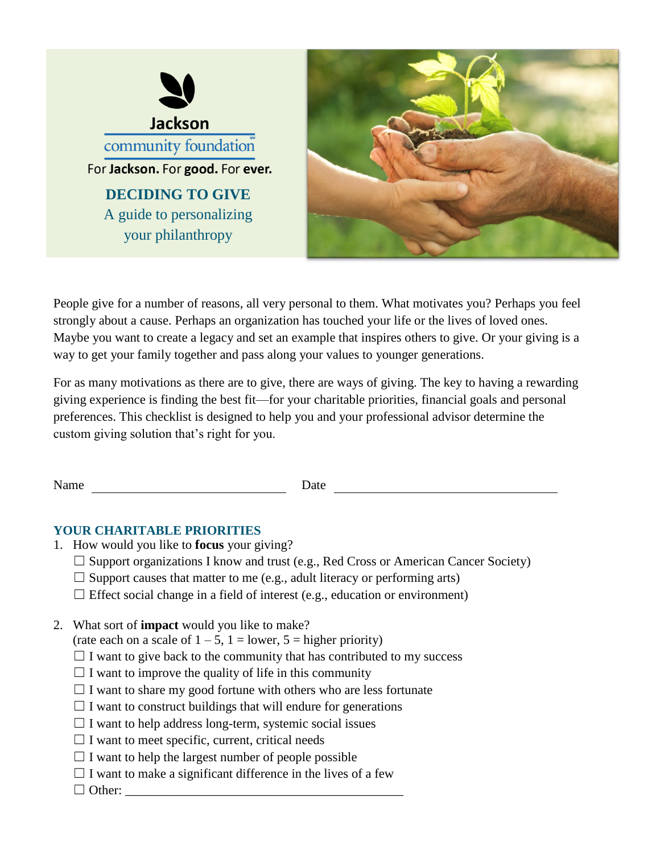



People give for a number of reasons, all very personal to them. What motivates you? Perhaps you feel strongly about a cause. Perhaps an organization has touched your life or the lives of loved ones. Maybe you want to create a legacy and set an example that inspires others to give. Or your giving is a way to get your family together and pass along your values to younger generations.

For as many motivations as there are to give, there are ways of giving. The key to having a rewarding giving experience is finding the best fit—for your charitable priorities, financial goals and personal preferences. This checklist is designed to help you and your professional advisor determine the custom giving solution that's right for you.

Name Date Date

#### **YOUR CHARITABLE PRIORITIES**

- 1. How would you like to **focus** your giving?
	- $\Box$  Support organizations I know and trust (e.g., Red Cross or American Cancer Society)
	- $\Box$  Support causes that matter to me (e.g., adult literacy or performing arts)
	- $\Box$  Effect social change in a field of interest (e.g., education or environment)
- 2. What sort of **impact** would you like to make?

(rate each on a scale of  $1 - 5$ ,  $1 =$  lower,  $5 =$  higher priority)

- $\Box$  I want to give back to the community that has contributed to my success
- $\Box$  I want to improve the quality of life in this community
- $\Box$  I want to share my good fortune with others who are less fortunate
- $\Box$  I want to construct buildings that will endure for generations
- $\Box$  I want to help address long-term, systemic social issues
- $\Box$  I want to meet specific, current, critical needs
- $\Box$  I want to help the largest number of people possible
- $\Box$  I want to make a significant difference in the lives of a few
- ☐ Other: \_\_\_\_\_\_\_\_\_\_\_\_\_\_\_\_\_\_\_\_\_\_\_\_\_\_\_\_\_\_\_\_\_\_\_\_\_\_\_\_\_\_\_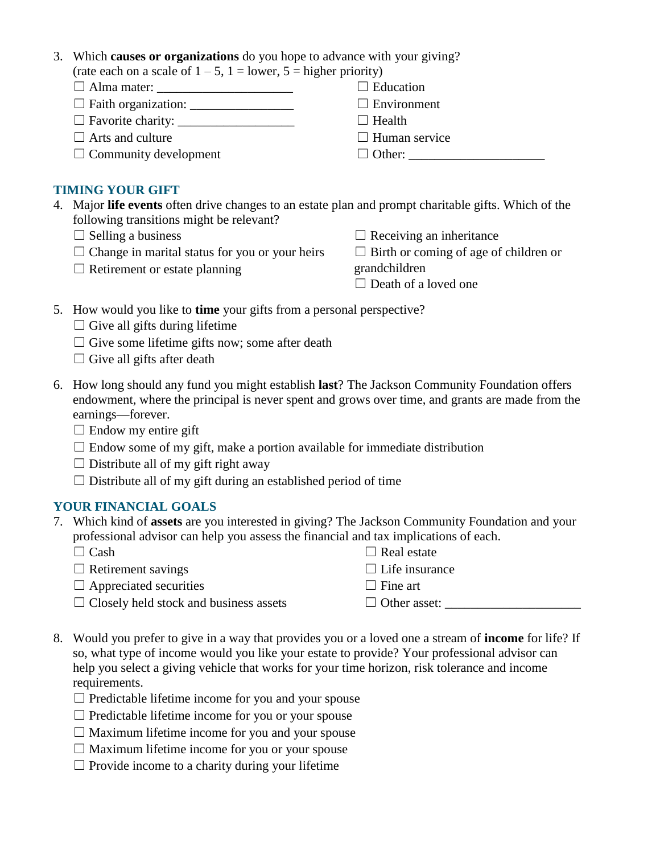- 3. Which **causes or organizations** do you hope to advance with your giving? (rate each on a scale of  $1 - 5$ ,  $1 =$  lower,  $5 =$  higher priority)
	- ☐ Alma mater: \_\_\_\_\_\_\_\_\_\_\_\_\_\_\_\_\_\_\_\_\_
	- $\Box$  Faith organization:  $\Box$
	- $\Box$  Favorite charity:  $\Box$
	- $\Box$  Arts and culture
	- $\Box$  Community development

## **TIMING YOUR GIFT**

- 4. Major **life events** often drive changes to an estate plan and prompt charitable gifts. Which of the following transitions might be relevant?
	- $\Box$  Selling a business
	- $\Box$  Change in marital status for you or your heirs
	- $\Box$  Retirement or estate planning

 $\Box$  Receiving an inheritance

 $\Box$  Birth or coming of age of children or

grandchildren

 $\Box$  Education  $\square$  Environment

 $\Box$  Human service  $\Box$  Other:

 $\Box$  Health

- □ Death of a loved one
- 5. How would you like to **time** your gifts from a personal perspective?
	- $\Box$  Give all gifts during lifetime
	- $\Box$  Give some lifetime gifts now; some after death
	- $\Box$  Give all gifts after death
- 6. How long should any fund you might establish **last**? The Jackson Community Foundation offers endowment, where the principal is never spent and grows over time, and grants are made from the earnings—forever.
	- $\Box$  Endow my entire gift
	- $\Box$  Endow some of my gift, make a portion available for immediate distribution
	- $\Box$  Distribute all of my gift right away
	- $\Box$  Distribute all of my gift during an established period of time

## **YOUR FINANCIAL GOALS**

- 7. Which kind of **assets** are you interested in giving? The Jackson Community Foundation and your professional advisor can help you assess the financial and tax implications of each.
	- $\Box$  Cash
	- $\Box$  Retirement savings
	- $\Box$  Appreciated securities
	- $\Box$  Closely held stock and business assets
- 8. Would you prefer to give in a way that provides you or a loved one a stream of **income** for life? If so, what type of income would you like your estate to provide? Your professional advisor can help you select a giving vehicle that works for your time horizon, risk tolerance and income requirements.
	- $\Box$  Predictable lifetime income for you and your spouse
	- $\Box$  Predictable lifetime income for you or your spouse
	- $\Box$  Maximum lifetime income for you and your spouse
	- ☐ Maximum lifetime income for you or your spouse
	- $\Box$  Provide income to a charity during your lifetime
- $\Box$  Life insurance  $\Box$  Fine art  $\Box$  Other asset:
	-

 $\Box$  Real estate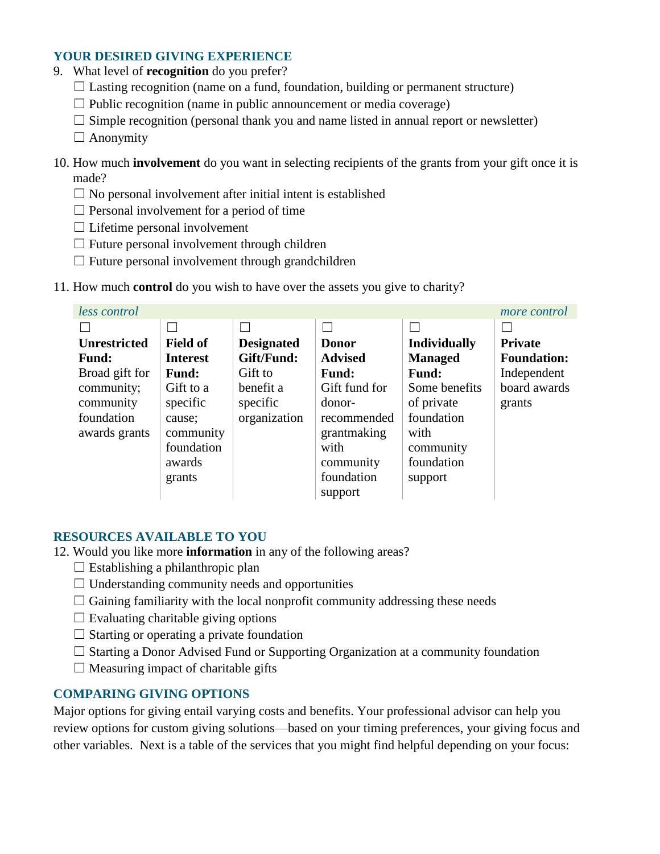### **YOUR DESIRED GIVING EXPERIENCE**

- 9. What level of **recognition** do you prefer?
	- $\Box$  Lasting recognition (name on a fund, foundation, building or permanent structure)
	- $\Box$  Public recognition (name in public announcement or media coverage)
	- $\Box$  Simple recognition (personal thank you and name listed in annual report or newsletter)
	- $\Box$  Anonymity
- 10. How much **involvement** do you want in selecting recipients of the grants from your gift once it is made?
	- $\Box$  No personal involvement after initial intent is established
	- $\Box$  Personal involvement for a period of time
	- $\Box$  Lifetime personal involvement
	- $\Box$  Future personal involvement through children
	- $\Box$  Future personal involvement through grandchildren
- 11. How much **control** do you wish to have over the assets you give to charity?

| less control        |                 |                   |                |                     | more control       |
|---------------------|-----------------|-------------------|----------------|---------------------|--------------------|
|                     |                 |                   |                |                     |                    |
| <b>Unrestricted</b> | <b>Field of</b> | <b>Designated</b> | <b>Donor</b>   | <b>Individually</b> | <b>Private</b>     |
| <b>Fund:</b>        | <b>Interest</b> | Gift/Fund:        | <b>Advised</b> | <b>Managed</b>      | <b>Foundation:</b> |
| Broad gift for      | <b>Fund:</b>    | Gift to           | <b>Fund:</b>   | <b>Fund:</b>        | Independent        |
| community;          | Gift to a       | benefit a         | Gift fund for  | Some benefits       | board awards       |
| community           | specific        | specific          | donor-         | of private          | grants             |
| foundation          | cause;          | organization      | recommended    | foundation          |                    |
| awards grants       | community       |                   | grantmaking    | with                |                    |
|                     | foundation      |                   | with           | community           |                    |
|                     | awards          |                   | community      | foundation          |                    |
|                     | grants          |                   | foundation     | support             |                    |
|                     |                 |                   | support        |                     |                    |

#### **RESOURCES AVAILABLE TO YOU**

- 12. Would you like more **information** in any of the following areas?
	- $\Box$  Establishing a philanthropic plan
	- $\Box$  Understanding community needs and opportunities
	- $\Box$  Gaining familiarity with the local nonprofit community addressing these needs
	- $\Box$  Evaluating charitable giving options
	- $\Box$  Starting or operating a private foundation
	- $\Box$  Starting a Donor Advised Fund or Supporting Organization at a community foundation
	- $\Box$  Measuring impact of charitable gifts

#### **COMPARING GIVING OPTIONS**

Major options for giving entail varying costs and benefits. Your professional advisor can help you review options for custom giving solutions—based on your timing preferences, your giving focus and other variables. Next is a table of the services that you might find helpful depending on your focus: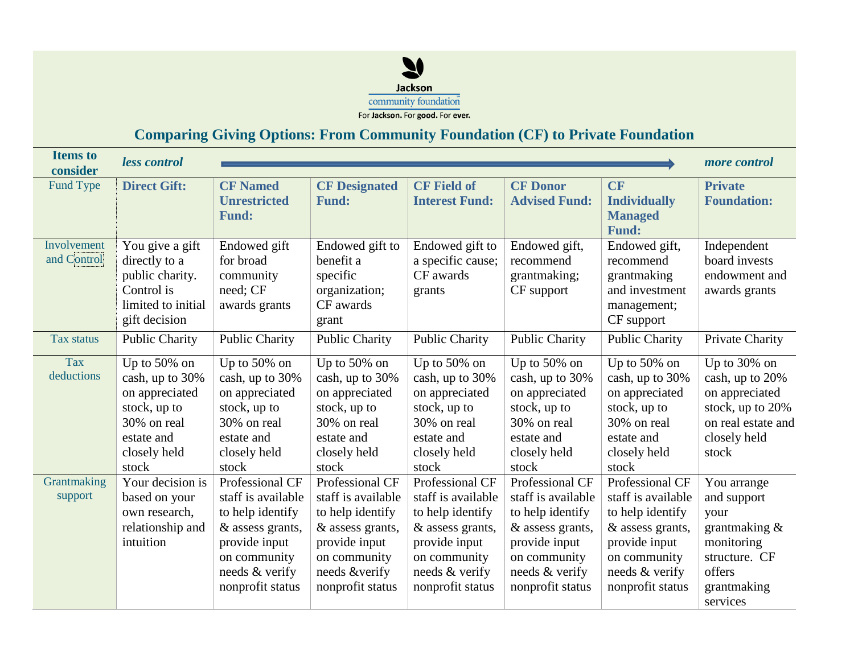

# **Comparing Giving Options: From Community Foundation (CF) to Private Foundation**

| <b>Items to</b><br>consider | less control          |                       |                       |                       |                       |                     | more control       |
|-----------------------------|-----------------------|-----------------------|-----------------------|-----------------------|-----------------------|---------------------|--------------------|
| Fund Type                   | <b>Direct Gift:</b>   | <b>CF Named</b>       | <b>CF Designated</b>  | <b>CF Field of</b>    | <b>CF Donor</b>       | <b>CF</b>           | <b>Private</b>     |
|                             |                       | <b>Unrestricted</b>   | <b>Fund:</b>          | <b>Interest Fund:</b> | <b>Advised Fund:</b>  | <b>Individually</b> | <b>Foundation:</b> |
|                             |                       | <b>Fund:</b>          |                       |                       |                       | <b>Managed</b>      |                    |
|                             |                       |                       |                       |                       |                       | <b>Fund:</b>        |                    |
| Involvement                 | You give a gift       | Endowed gift          | Endowed gift to       | Endowed gift to       | Endowed gift,         | Endowed gift,       | Independent        |
| and Control                 | directly to a         | for broad             | benefit a             | a specific cause;     | recommend             | recommend           | board invests      |
|                             | public charity.       | community             | specific              | CF awards             | grantmaking;          | grantmaking         | endowment and      |
|                             | Control is            | need; CF              | organization;         | grants                | CF support            | and investment      | awards grants      |
|                             | limited to initial    | awards grants         | CF awards             |                       |                       | management;         |                    |
|                             | gift decision         |                       | grant                 |                       |                       | CF support          |                    |
| Tax status                  | <b>Public Charity</b> | <b>Public Charity</b> | <b>Public Charity</b> | <b>Public Charity</b> | <b>Public Charity</b> | Public Charity      | Private Charity    |
| Tax                         | Up to $50\%$ on       | Up to $50\%$ on       | Up to $50\%$ on       | Up to $50\%$ on       | Up to $50\%$ on       | Up to $50\%$ on     | Up to 30% on       |
| deductions                  | cash, up to 30%       | cash, up to 30%       | cash, up to 30%       | cash, up to 30%       | cash, up to 30%       | cash, up to 30%     | cash, up to 20%    |
|                             | on appreciated        | on appreciated        | on appreciated        | on appreciated        | on appreciated        | on appreciated      | on appreciated     |
|                             | stock, up to          | stock, up to          | stock, up to          | stock, up to          | stock, up to          | stock, up to        | stock, up to 20%   |
|                             | 30% on real           | 30% on real           | 30% on real           | 30% on real           | 30% on real           | 30% on real         | on real estate and |
|                             | estate and            | estate and            | estate and            | estate and            | estate and            | estate and          | closely held       |
|                             | closely held          | closely held          | closely held          | closely held          | closely held          | closely held        | stock              |
|                             | stock                 | stock                 | stock                 | stock                 | stock                 | stock               |                    |
| Grantmaking                 | Your decision is      | Professional CF       | Professional CF       | Professional CF       | Professional CF       | Professional CF     | You arrange        |
| support                     | based on your         | staff is available    | staff is available    | staff is available    | staff is available    | staff is available  | and support        |
|                             | own research,         | to help identify      | to help identify      | to help identify      | to help identify      | to help identify    | your               |
|                             | relationship and      | & assess grants,      | & assess grants,      | & assess grants,      | & assess grants,      | & assess grants,    | grantmaking $&$    |
|                             | intuition             | provide input         | provide input         | provide input         | provide input         | provide input       | monitoring         |
|                             |                       | on community          | on community          | on community          | on community          | on community        | structure. CF      |
|                             |                       | needs & verify        | needs &verify         | needs & verify        | needs & verify        | needs & verify      | offers             |
|                             |                       | nonprofit status      | nonprofit status      | nonprofit status      | nonprofit status      | nonprofit status    | grantmaking        |
|                             |                       |                       |                       |                       |                       |                     | services           |